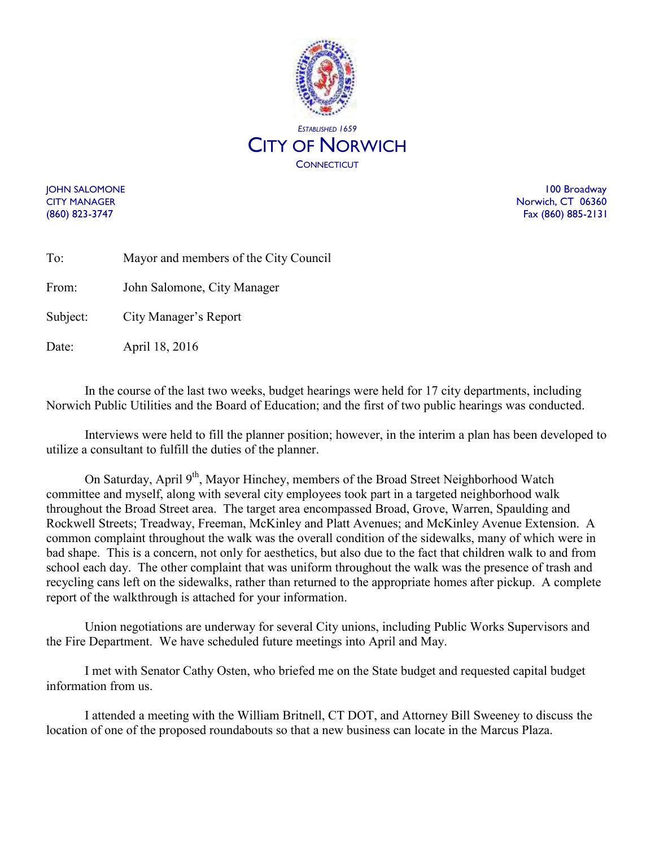

**JOHN SALOMONE** 100 Broadway CITY MANAGER **Norwich, CT 06360** (860) 823-3747 Fax (860) 885-2131

| To:   | Mayor and members of the City Council |
|-------|---------------------------------------|
| From: | John Salomone, City Manager           |

Subject: City Manager's Report

Date: April 18, 2016

In the course of the last two weeks, budget hearings were held for 17 city departments, including Norwich Public Utilities and the Board of Education; and the first of two public hearings was conducted.

Interviews were held to fill the planner position; however, in the interim a plan has been developed to utilize a consultant to fulfill the duties of the planner.

On Saturday, April 9<sup>th</sup>, Mayor Hinchey, members of the Broad Street Neighborhood Watch committee and myself, along with several city employees took part in a targeted neighborhood walk throughout the Broad Street area. The target area encompassed Broad, Grove, Warren, Spaulding and Rockwell Streets; Treadway, Freeman, McKinley and Platt Avenues; and McKinley Avenue Extension. A common complaint throughout the walk was the overall condition of the sidewalks, many of which were in bad shape. This is a concern, not only for aesthetics, but also due to the fact that children walk to and from school each day. The other complaint that was uniform throughout the walk was the presence of trash and recycling cans left on the sidewalks, rather than returned to the appropriate homes after pickup. A complete report of the walkthrough is attached for your information.

Union negotiations are underway for several City unions, including Public Works Supervisors and the Fire Department. We have scheduled future meetings into April and May.

I met with Senator Cathy Osten, who briefed me on the State budget and requested capital budget information from us.

I attended a meeting with the William Britnell, CT DOT, and Attorney Bill Sweeney to discuss the location of one of the proposed roundabouts so that a new business can locate in the Marcus Plaza.